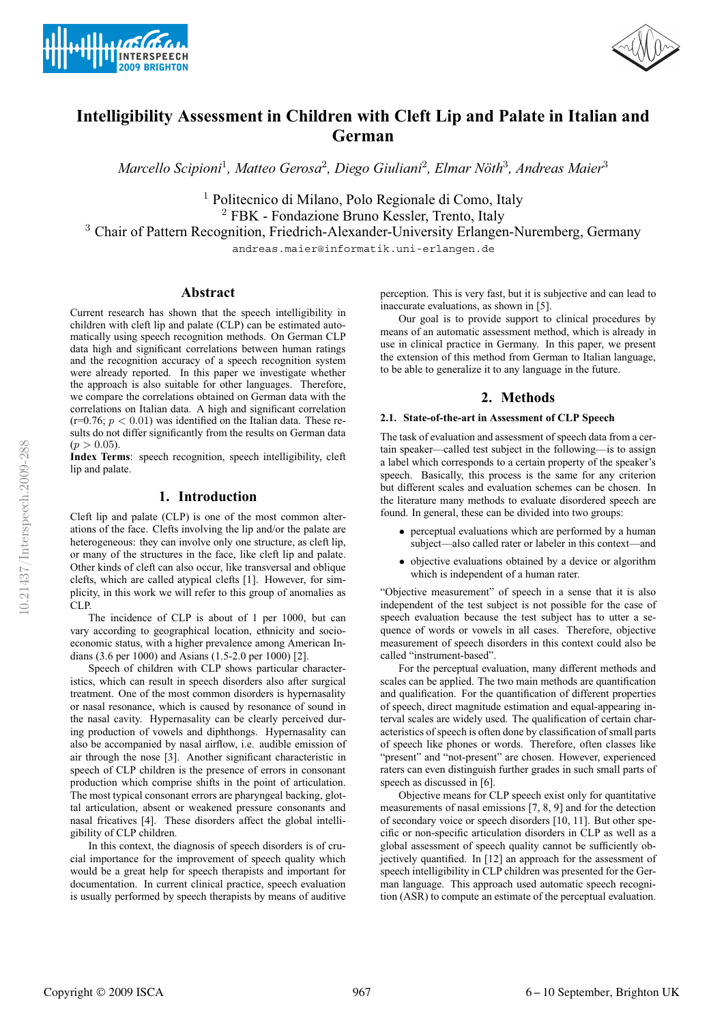



# **Intelligibility Assessment in Children with Cleft Lip and Palate in Italian and German**

*Marcello Scipioni*<sup>1</sup>*, Matteo Gerosa*<sup>2</sup>*, Diego Giuliani*<sup>2</sup>*, Elmar Noth ¨* <sup>3</sup>*, Andreas Maier*<sup>3</sup>

<sup>1</sup> Politecnico di Milano, Polo Regionale di Como, Italy <sup>2</sup> FBK - Fondazione Bruno Kessler, Trento, Italy <sup>3</sup> Chair of Pattern Recognition, Friedrich-Alexander-University Erlangen-Nuremberg, Germany

andreas.maier@informatik.uni-erlangen.de

## **Abstract**

Current research has shown that the speech intelligibility in children with cleft lip and palate (CLP) can be estimated automatically using speech recognition methods. On German CLP data high and significant correlations between human ratings and the recognition accuracy of a speech recognition system were already reported. In this paper we investigate whether the approach is also suitable for other languages. Therefore, we compare the correlations obtained on German data with the correlations on Italian data. A high and significant correlation  $(r=0.76; p < 0.01)$  was identified on the Italian data. These results do not differ significantly from the results on German data  $(p > 0.05)$ .

**Index Terms**: speech recognition, speech intelligibility, cleft lip and palate.

## **1. Introduction**

Cleft lip and palate (CLP) is one of the most common alterations of the face. Clefts involving the lip and/or the palate are heterogeneous: they can involve only one structure, as cleft lip, or many of the structures in the face, like cleft lip and palate. Other kinds of cleft can also occur, like transversal and oblique clefts, which are called atypical clefts [1]. However, for simplicity, in this work we will refer to this group of anomalies as CLP.

The incidence of CLP is about of 1 per 1000, but can vary according to geographical location, ethnicity and socioeconomic status, with a higher prevalence among American Indians (3.6 per 1000) and Asians (1.5-2.0 per 1000) [2].

Speech of children with CLP shows particular characteristics, which can result in speech disorders also after surgical treatment. One of the most common disorders is hypernasality or nasal resonance, which is caused by resonance of sound in the nasal cavity. Hypernasality can be clearly perceived during production of vowels and diphthongs. Hypernasality can also be accompanied by nasal airflow, i.e. audible emission of air through the nose [3]. Another significant characteristic in speech of CLP children is the presence of errors in consonant production which comprise shifts in the point of articulation. The most typical consonant errors are pharyngeal backing, glottal articulation, absent or weakened pressure consonants and nasal fricatives [4]. These disorders affect the global intelligibility of CLP children.

In this context, the diagnosis of speech disorders is of crucial importance for the improvement of speech quality which would be a great help for speech therapists and important for documentation. In current clinical practice, speech evaluation is usually performed by speech therapists by means of auditive perception. This is very fast, but it is subjective and can lead to inaccurate evaluations, as shown in [5].

Our goal is to provide support to clinical procedures by means of an automatic assessment method, which is already in use in clinical practice in Germany. In this paper, we present the extension of this method from German to Italian language, to be able to generalize it to any language in the future.

## **2. Methods**

### **2.1. State-of-the-art in Assessment of CLP Speech**

The task of evaluation and assessment of speech data from a certain speaker—called test subject in the following—is to assign a label which corresponds to a certain property of the speaker's speech. Basically, this process is the same for any criterion but different scales and evaluation schemes can be chosen. In the literature many methods to evaluate disordered speech are found. In general, these can be divided into two groups:

- perceptual evaluations which are performed by a human subject—also called rater or labeler in this context—and
- objective evaluations obtained by a device or algorithm which is independent of a human rater.

"Objective measurement" of speech in a sense that it is also independent of the test subject is not possible for the case of speech evaluation because the test subject has to utter a sequence of words or vowels in all cases. Therefore, objective measurement of speech disorders in this context could also be called "instrument-based".

For the perceptual evaluation, many different methods and scales can be applied. The two main methods are quantification and qualification. For the quantification of different properties of speech, direct magnitude estimation and equal-appearing interval scales are widely used. The qualification of certain characteristics of speech is often done by classification of small parts of speech like phones or words. Therefore, often classes like "present" and "not-present" are chosen. However, experienced raters can even distinguish further grades in such small parts of speech as discussed in [6].

Objective means for CLP speech exist only for quantitative measurements of nasal emissions [7, 8, 9] and for the detection of secondary voice or speech disorders [10, 11]. But other specific or non-specific articulation disorders in CLP as well as a global assessment of speech quality cannot be sufficiently objectively quantified. In [12] an approach for the assessment of speech intelligibility in CLP children was presented for the German language. This approach used automatic speech recognition (ASR) to compute an estimate of the perceptual evaluation.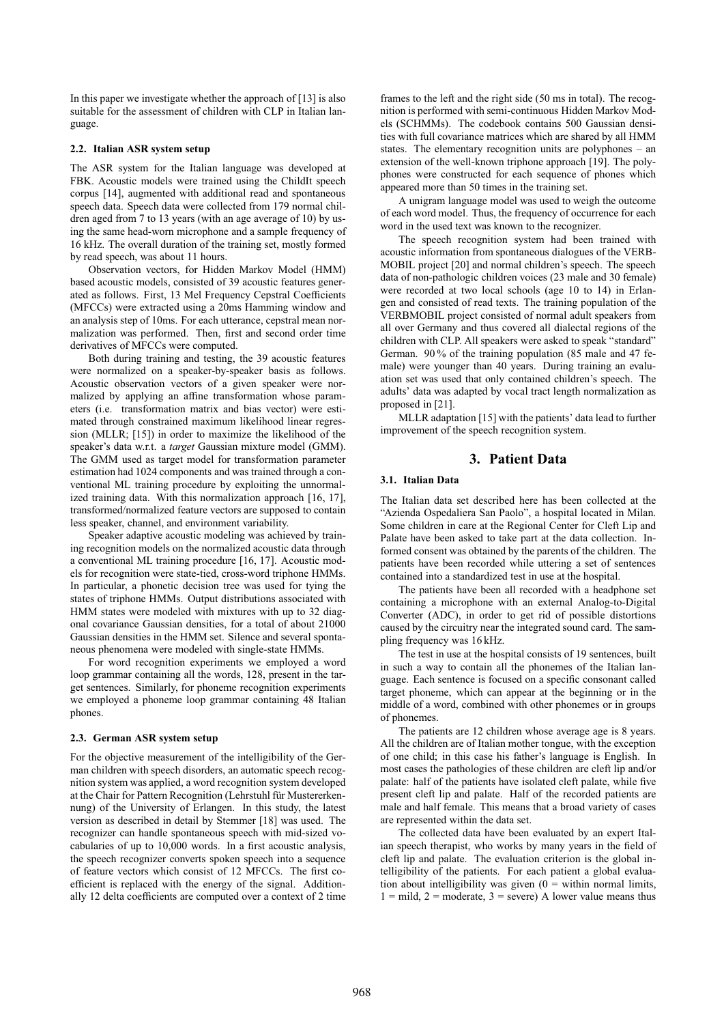In this paper we investigate whether the approach of [13] is also suitable for the assessment of children with CLP in Italian language.

#### **2.2. Italian ASR system setup**

The ASR system for the Italian language was developed at FBK. Acoustic models were trained using the ChildIt speech corpus [14], augmented with additional read and spontaneous speech data. Speech data were collected from 179 normal children aged from 7 to 13 years (with an age average of 10) by using the same head-worn microphone and a sample frequency of 16 kHz. The overall duration of the training set, mostly formed by read speech, was about 11 hours.

Observation vectors, for Hidden Markov Model (HMM) based acoustic models, consisted of 39 acoustic features generated as follows. First, 13 Mel Frequency Cepstral Coefficients (MFCCs) were extracted using a 20ms Hamming window and an analysis step of 10ms. For each utterance, cepstral mean normalization was performed. Then, first and second order time derivatives of MFCCs were computed.

Both during training and testing, the 39 acoustic features were normalized on a speaker-by-speaker basis as follows. Acoustic observation vectors of a given speaker were normalized by applying an affine transformation whose parameters (i.e. transformation matrix and bias vector) were estimated through constrained maximum likelihood linear regression (MLLR; [15]) in order to maximize the likelihood of the speaker's data w.r.t. a *target* Gaussian mixture model (GMM). The GMM used as target model for transformation parameter estimation had 1024 components and was trained through a conventional ML training procedure by exploiting the unnormalized training data. With this normalization approach [16, 17], transformed/normalized feature vectors are supposed to contain less speaker, channel, and environment variability.

Speaker adaptive acoustic modeling was achieved by training recognition models on the normalized acoustic data through a conventional ML training procedure [16, 17]. Acoustic models for recognition were state-tied, cross-word triphone HMMs. In particular, a phonetic decision tree was used for tying the states of triphone HMMs. Output distributions associated with HMM states were modeled with mixtures with up to 32 diagonal covariance Gaussian densities, for a total of about 21000 Gaussian densities in the HMM set. Silence and several spontaneous phenomena were modeled with single-state HMMs.

For word recognition experiments we employed a word loop grammar containing all the words, 128, present in the target sentences. Similarly, for phoneme recognition experiments we employed a phoneme loop grammar containing 48 Italian phones.

#### **2.3. German ASR system setup**

For the objective measurement of the intelligibility of the German children with speech disorders, an automatic speech recognition system was applied, a word recognition system developed at the Chair for Pattern Recognition (Lehrstuhl für Mustererkennung) of the University of Erlangen. In this study, the latest version as described in detail by Stemmer [18] was used. The recognizer can handle spontaneous speech with mid-sized vocabularies of up to 10,000 words. In a first acoustic analysis, the speech recognizer converts spoken speech into a sequence of feature vectors which consist of 12 MFCCs. The first coefficient is replaced with the energy of the signal. Additionally 12 delta coefficients are computed over a context of 2 time

frames to the left and the right side (50 ms in total). The recognition is performed with semi-continuous Hidden Markov Models (SCHMMs). The codebook contains 500 Gaussian densities with full covariance matrices which are shared by all HMM states. The elementary recognition units are polyphones – an extension of the well-known triphone approach [19]. The polyphones were constructed for each sequence of phones which appeared more than 50 times in the training set.

A unigram language model was used to weigh the outcome of each word model. Thus, the frequency of occurrence for each word in the used text was known to the recognizer.

The speech recognition system had been trained with acoustic information from spontaneous dialogues of the VERB-MOBIL project [20] and normal children's speech. The speech data of non-pathologic children voices (23 male and 30 female) were recorded at two local schools (age 10 to 14) in Erlangen and consisted of read texts. The training population of the VERBMOBIL project consisted of normal adult speakers from all over Germany and thus covered all dialectal regions of the children with CLP. All speakers were asked to speak "standard" German. 90 % of the training population (85 male and 47 female) were younger than 40 years. During training an evaluation set was used that only contained children's speech. The adults' data was adapted by vocal tract length normalization as proposed in [21].

MLLR adaptation [15] with the patients' data lead to further improvement of the speech recognition system.

## **3. Patient Data**

## **3.1. Italian Data**

The Italian data set described here has been collected at the "Azienda Ospedaliera San Paolo", a hospital located in Milan. Some children in care at the Regional Center for Cleft Lip and Palate have been asked to take part at the data collection. Informed consent was obtained by the parents of the children. The patients have been recorded while uttering a set of sentences contained into a standardized test in use at the hospital.

The patients have been all recorded with a headphone set containing a microphone with an external Analog-to-Digital Converter (ADC), in order to get rid of possible distortions caused by the circuitry near the integrated sound card. The sampling frequency was 16 kHz.

The test in use at the hospital consists of 19 sentences, built in such a way to contain all the phonemes of the Italian language. Each sentence is focused on a specific consonant called target phoneme, which can appear at the beginning or in the middle of a word, combined with other phonemes or in groups of phonemes.

The patients are 12 children whose average age is 8 years. All the children are of Italian mother tongue, with the exception of one child; in this case his father's language is English. In most cases the pathologies of these children are cleft lip and/or palate: half of the patients have isolated cleft palate, while five present cleft lip and palate. Half of the recorded patients are male and half female. This means that a broad variety of cases are represented within the data set.

The collected data have been evaluated by an expert Italian speech therapist, who works by many years in the field of cleft lip and palate. The evaluation criterion is the global intelligibility of the patients. For each patient a global evaluation about intelligibility was given  $(0 = \text{within normal limits})$ ,  $1 =$  mild,  $2 =$  moderate,  $3 =$  severe) A lower value means thus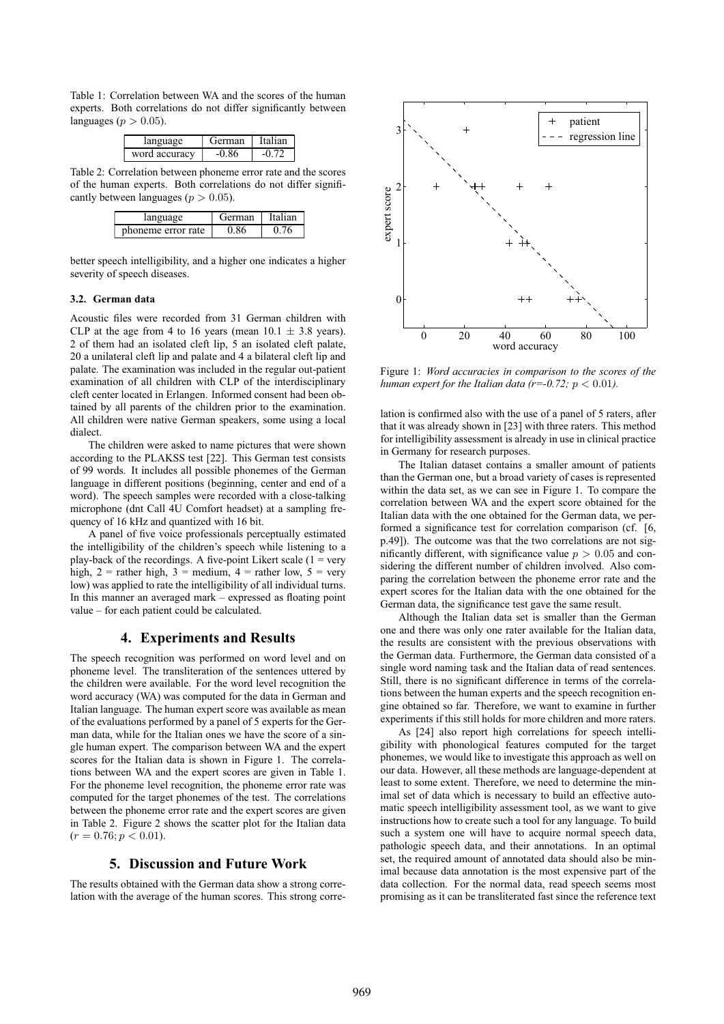Table 1: Correlation between WA and the scores of the human experts. Both correlations do not differ significantly between languages ( $p > 0.05$ ).

| language      | Terman | Italian |
|---------------|--------|---------|
| word accuracy |        |         |

Table 2: Correlation between phoneme error rate and the scores of the human experts. Both correlations do not differ significantly between languages ( $p > 0.05$ ).

| language           | erman |  |
|--------------------|-------|--|
| phoneme error rate |       |  |

better speech intelligibility, and a higher one indicates a higher severity of speech diseases.

#### **3.2. German data**

Acoustic files were recorded from 31 German children with CLP at the age from 4 to 16 years (mean  $10.1 \pm 3.8$  years). 2 of them had an isolated cleft lip, 5 an isolated cleft palate, 20 a unilateral cleft lip and palate and 4 a bilateral cleft lip and palate. The examination was included in the regular out-patient examination of all children with CLP of the interdisciplinary cleft center located in Erlangen. Informed consent had been obtained by all parents of the children prior to the examination. All children were native German speakers, some using a local dialect.

The children were asked to name pictures that were shown according to the PLAKSS test [22]. This German test consists of 99 words. It includes all possible phonemes of the German language in different positions (beginning, center and end of a word). The speech samples were recorded with a close-talking microphone (dnt Call 4U Comfort headset) at a sampling frequency of 16 kHz and quantized with 16 bit.

A panel of five voice professionals perceptually estimated the intelligibility of the children's speech while listening to a play-back of the recordings. A five-point Likert scale  $(1 = \text{very}$ high,  $2 =$  rather high,  $3 =$  medium,  $4 =$  rather low,  $5 =$  very low) was applied to rate the intelligibility of all individual turns. In this manner an averaged mark – expressed as floating point value – for each patient could be calculated.

## **4. Experiments and Results**

The speech recognition was performed on word level and on phoneme level. The transliteration of the sentences uttered by the children were available. For the word level recognition the word accuracy (WA) was computed for the data in German and Italian language. The human expert score was available as mean of the evaluations performed by a panel of 5 experts for the German data, while for the Italian ones we have the score of a single human expert. The comparison between WA and the expert scores for the Italian data is shown in Figure 1. The correlations between WA and the expert scores are given in Table 1. For the phoneme level recognition, the phoneme error rate was computed for the target phonemes of the test. The correlations between the phoneme error rate and the expert scores are given in Table 2. Figure 2 shows the scatter plot for the Italian data  $(r = 0.76; p < 0.01).$ 

### **5. Discussion and Future Work**

The results obtained with the German data show a strong correlation with the average of the human scores. This strong corre-



Figure 1: *Word accuracies in comparison to the scores of the human expert for the Italian data (r=-0.72; p < 0.01).* 

lation is confirmed also with the use of a panel of 5 raters, after that it was already shown in [23] with three raters. This method for intelligibility assessment is already in use in clinical practice in Germany for research purposes.

The Italian dataset contains a smaller amount of patients than the German one, but a broad variety of cases is represented within the data set, as we can see in Figure 1. To compare the correlation between WA and the expert score obtained for the Italian data with the one obtained for the German data, we performed a significance test for correlation comparison (cf. [6, p.49]). The outcome was that the two correlations are not significantly different, with significance value  $p > 0.05$  and considering the different number of children involved. Also comparing the correlation between the phoneme error rate and the expert scores for the Italian data with the one obtained for the German data, the significance test gave the same result.

Although the Italian data set is smaller than the German one and there was only one rater available for the Italian data, the results are consistent with the previous observations with the German data. Furthermore, the German data consisted of a single word naming task and the Italian data of read sentences. Still, there is no significant difference in terms of the correlations between the human experts and the speech recognition engine obtained so far. Therefore, we want to examine in further experiments if this still holds for more children and more raters.

As [24] also report high correlations for speech intelligibility with phonological features computed for the target phonemes, we would like to investigate this approach as well on our data. However, all these methods are language-dependent at least to some extent. Therefore, we need to determine the minimal set of data which is necessary to build an effective automatic speech intelligibility assessment tool, as we want to give instructions how to create such a tool for any language. To build such a system one will have to acquire normal speech data, pathologic speech data, and their annotations. In an optimal set, the required amount of annotated data should also be minimal because data annotation is the most expensive part of the data collection. For the normal data, read speech seems most promising as it can be transliterated fast since the reference text